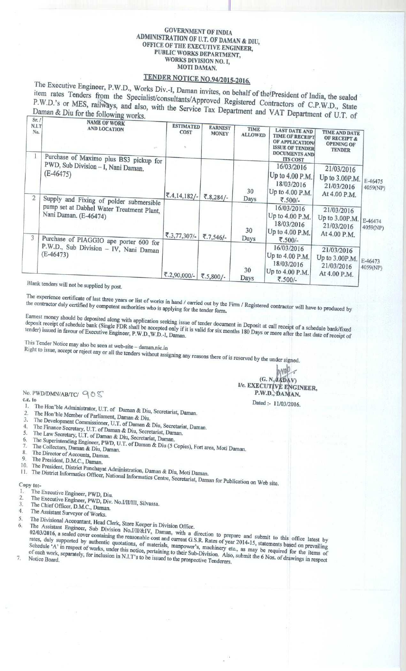#### **GOVERNMENT OF INDIA ADMINISTRATION** OF U.T. **OF DAMAN & DIU, OFFICE OF THE EXECUTIVE ENGINEER, PUBLIC WORKS DEPARTMENT, WORKS DIVISION NO. I, MOTI DAMAN.**

# **TENDER NOTICE NO**. **94/2015-2016.**

<sup>11em</sup> rates Tenders from the Specialist/consultants/Approved Registered Contractors of C.P.W.D., State<br>P.W.D.'s or MES, railways, and also, with the Service Tax Department and VAT Department of U.T. of<br>Daman & Diu for th The Executive Engineer, P.W.D., Works Div.-I, Daman invites, on behalf of the President of India, the sealed<br>item rates Tenders from the Specialist/consultants/Approved Registered Contractors of C.P.W.D., State

| .<br>N.I.T<br>No. | <b>NAME OF WORK</b><br><b>AND LOCATION</b><br>Purchase of Maximo plus BS3 pickup for                         | <b>ESTIMATED</b><br><b>COST</b> | <b>EARNEST</b><br><b>MONEY</b> | TIME<br><b>ALLOWED</b> | <b>LAST DATE AND</b><br><b>TIME OF RECEIPT</b><br>OF APPLICATION<br><b>ISSUE OF TENDER</b><br><b>DOCUMENTS AND</b><br><b>ITS COST</b> | <b>TIME AND DATE</b><br><b>OF RECEIPT &amp;</b><br><b>OPENING OF</b><br><b>TENDER</b> |                     |
|-------------------|--------------------------------------------------------------------------------------------------------------|---------------------------------|--------------------------------|------------------------|---------------------------------------------------------------------------------------------------------------------------------------|---------------------------------------------------------------------------------------|---------------------|
| $\overline{2}$    | PWD, Sub Division - I, Nani Daman.<br>$(E-46475)$<br>Supply and Fixing of polder submersible                 | ₹.4,14,182/-                    | ₹.8,284/-                      | 30<br>Days             | 16/03/2016<br>Up to 4.00 P.M.<br>18/03/2016<br>Up to 4.00 P.M.<br>₹.500/-                                                             | 21/03/2016<br>Up to 3.00P.M.<br>21/03/2016<br>At 4.00 P.M.                            | E-46475<br>4059(NP) |
| 3                 | pump set at Dabhel Water Treatment Plant,<br>Nani Daman. (E-46474)<br>Purchase of PIAGGIO ape porter 600 for | ₹.3,77,307/-                    | ₹.7,546/-                      | 30<br>Days             | 16/03/2016<br>Up to 4.00 P.M.<br>18/03/2016<br>Up to 4.00 P.M.<br>₹.500/-                                                             | 21/03/2016<br>Up to 3.00P.M.<br>21/03/2016<br>At 4.00 P.M.                            | E-46474<br>4059(NP) |
|                   | P.W.D., Sub Division - IV, Nani Daman<br>$(E-46473)$<br>R[onlet and sum 1, 1]                                | ₹.2,90,000/-                    | ₹.5,800/-                      | 30<br>Days             | 16/03/2016<br>Up to 4.00 P.M.<br>18/03/2016<br>Up to 4.00 P.M.<br>₹.500/-                                                             | 21/03/2016<br>Up to 3.00P.M.<br>21/03/2016<br>At 4.00 P.M.                            | E-46473<br>4059(NP) |

**Blank tenders will not be supplied by post.**

the experience certificate of last three years or list of works in hand / carried out by the Firm / Registered contractor will have to produced by the contractor duly certified by competent authorities who is applying for

deposit receipt of schedule bank (Single FDR shall be accepted and if it is determined along the posit at call receipt of a schedule bank (Single FDR shall be accepted and if it is deposited as a local of schedule bank (Si tender) issued in favour of Executive Epoineer B W D W D W F at the shall does ix months 180 Days or more after the last data for six date of  $\mu$ deposit receipt of schedule bank (Single FDR shall be accepted only if it is valid for six months 180 Days or more after the last date of receipt of

**This Tender Notice may also be seen at web** Find **Feder Fronce may also be seen at web-site** - daman.nic.in Right to issue, accept or reject any or all the test of

**accept or reject any or all the tenders without assigning any reasons there of is received by the under signed.** 

No. PWD/DMN/AB/TC/  $Q \odot \mathcal{S}$ **C.C. to**

- 1. The Hon'ble Administrator, U.T. of Daman & Diu, Secretariat, Daman.<br>2. The Hon'ble Member of Bostianus Company of Division in the United States. 2. The Hon'ble Member of Parliament, Daman & Diu.<br>3. The Development Commission **Manual**
- 
- 3. The Development Commissioner, U.T. of Daman & Diu, 4. The Finance Secretary, U.T. of Daman & **Secretariat**, **Daman.**
- 
- 5. The Law Secretary, U.T. of Daman & Diu, Secretariat, Daman.<br>6. The Superintendial U.T. of Daman & Diu, Secretariat, Daman.
- 
- **of The Superintending Engineer, PWD, U.T. of Daman & Diu (5 Copies), Fort area, Moti Daman.**<br> **7.** The Collectors, Daman & Diu, Daman.<br> **1.** The Collectors, Daman & Diu, Daman.
- **8. The Director of Accounts** , **Daman.**
- **9. The President**, **D.M.C., Daman.**
- The President, District Panchayat Administration, Daman & Diu, Moti Daman.

11. The District Informatics Officer, National Informatics Centre, Secretariat, Daman for Publication on Web site.<br>Copy to:-

- **I. The Executive Engineer**, **PWD, Diu.**
- 2. The Executive Engineer, **PWD**, Div. No.I/II/III, Silvassa.<br>
3. The Chief Officer, D.M.C., Daman.<br>
4. The Assistant Surveyor of Ward.
- 
- **4. The Assistant Surveyor of Works.**
- 5. The Divisional Accountant, Head Clerk, Store Keeper in Division Office.<br>6. The Assistant Engineer, Sub, Division Ma *MUADI*

<sup>6</sup>. The Assistant Engineer, Sub Division No.I/II/&IV, Daman, with a direction to prepare and submit to this office latest by<br>02/03/2016, a sealed cover containing the reasonable cost and current G.S.R. Rates of year 2014-Schedule 'A' in respect of works, under this notice pertains, manpower's, machinery etc., as may be required for the of each work, separately, for inclusion in N<sub>1</sub>T<sub>2</sub>, as extraining to their Sub-Division. Also submit the 6N<sub>1</sub> equired for the items of of each work, separately, for inclusion in N.I.T's to be issued to their Sub-Division. Also, submit the 6 Nos. of drawings in respective Tenderers.

**iG. N., GADAV)** *Uc. EXECUTIVE ENGINEER,* P.W.D., DAMAN.

**Dated** :- **11/03/2016.**